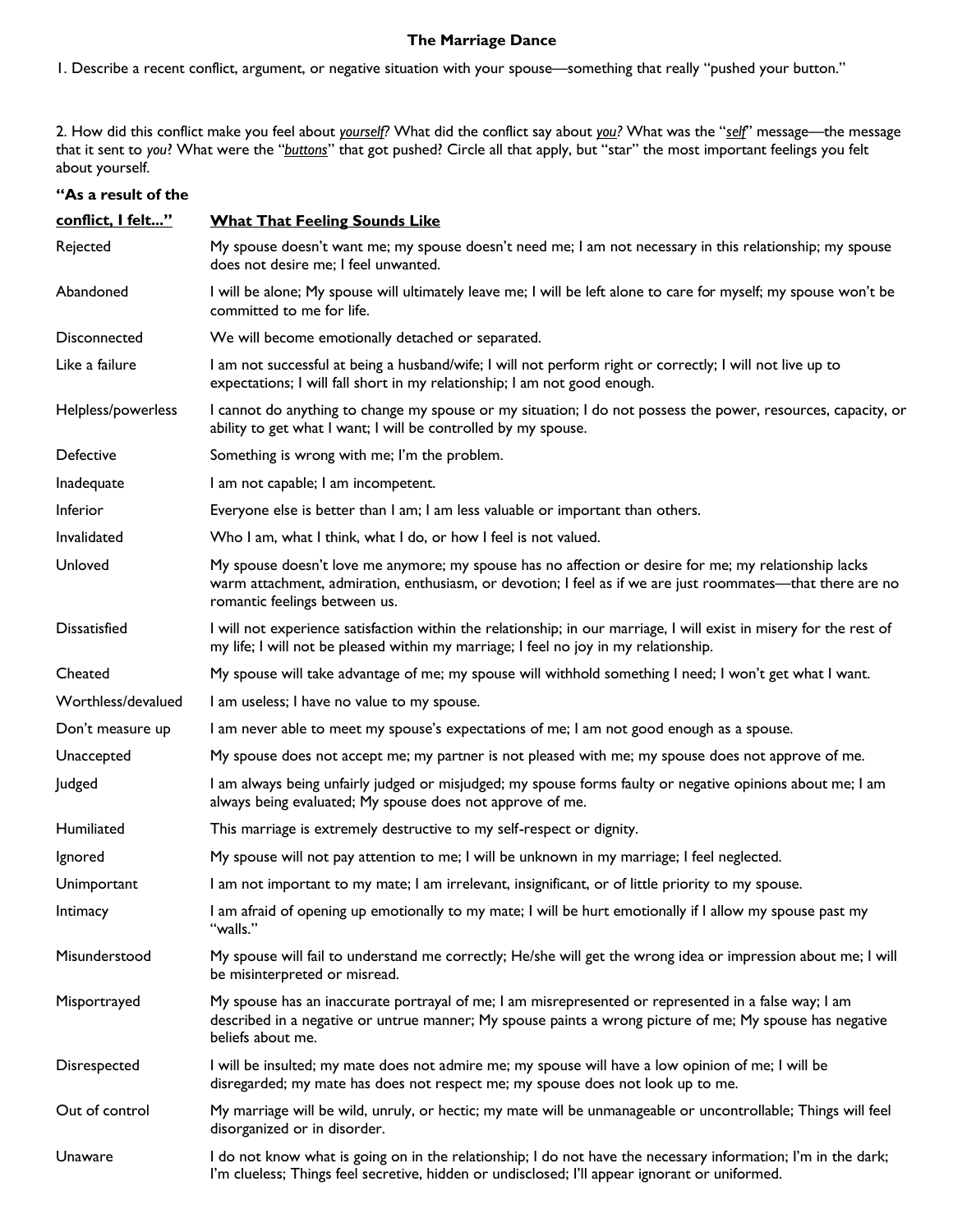## **The Marriage Dance**

1. Describe a recent conflict, argument, or negative situation with your spouse—something that really "pushed your button."

2. How did this conflict make you feel about *yourself?* What did the conflict say about *you?* What was the "*self*" message—the message that it sent to *you*? What were the "*buttons*" that got pushed? Circle all that apply, but "star" the most important feelings you felt about yourself.

## **"As a result of the**

| conflict, I felt"   | <b>What That Feeling Sounds Like</b>                                                                                                                                                                                                                 |
|---------------------|------------------------------------------------------------------------------------------------------------------------------------------------------------------------------------------------------------------------------------------------------|
| Rejected            | My spouse doesn't want me; my spouse doesn't need me; I am not necessary in this relationship; my spouse<br>does not desire me; I feel unwanted.                                                                                                     |
| Abandoned           | I will be alone; My spouse will ultimately leave me; I will be left alone to care for myself; my spouse won't be<br>committed to me for life.                                                                                                        |
| Disconnected        | We will become emotionally detached or separated.                                                                                                                                                                                                    |
| Like a failure      | I am not successful at being a husband/wife; I will not perform right or correctly; I will not live up to<br>expectations; I will fall short in my relationship; I am not good enough.                                                               |
| Helpless/powerless  | I cannot do anything to change my spouse or my situation; I do not possess the power, resources, capacity, or<br>ability to get what I want; I will be controlled by my spouse.                                                                      |
| <b>Defective</b>    | Something is wrong with me; I'm the problem.                                                                                                                                                                                                         |
| Inadequate          | I am not capable; I am incompetent.                                                                                                                                                                                                                  |
| <b>Inferior</b>     | Everyone else is better than I am; I am less valuable or important than others.                                                                                                                                                                      |
| Invalidated         | Who I am, what I think, what I do, or how I feel is not valued.                                                                                                                                                                                      |
| Unloved             | My spouse doesn't love me anymore; my spouse has no affection or desire for me; my relationship lacks<br>warm attachment, admiration, enthusiasm, or devotion; I feel as if we are just roommates—that there are no<br>romantic feelings between us. |
| <b>Dissatisfied</b> | I will not experience satisfaction within the relationship; in our marriage, I will exist in misery for the rest of<br>my life; I will not be pleased within my marriage; I feel no joy in my relationship.                                          |
| Cheated             | My spouse will take advantage of me; my spouse will withhold something I need; I won't get what I want.                                                                                                                                              |
| Worthless/devalued  | I am useless; I have no value to my spouse.                                                                                                                                                                                                          |
| Don't measure up    | I am never able to meet my spouse's expectations of me; I am not good enough as a spouse.                                                                                                                                                            |
| Unaccepted          | My spouse does not accept me; my partner is not pleased with me; my spouse does not approve of me.                                                                                                                                                   |
| Judged              | I am always being unfairly judged or misjudged; my spouse forms faulty or negative opinions about me; I am<br>always being evaluated; My spouse does not approve of me.                                                                              |
| Humiliated          | This marriage is extremely destructive to my self-respect or dignity.                                                                                                                                                                                |
| Ignored             | My spouse will not pay attention to me; I will be unknown in my marriage; I feel neglected.                                                                                                                                                          |
| Unimportant         | I am not important to my mate; I am irrelevant, insignificant, or of little priority to my spouse.                                                                                                                                                   |
| Intimacy            | I am afraid of opening up emotionally to my mate; I will be hurt emotionally if I allow my spouse past my<br>"walls."                                                                                                                                |
| Misunderstood       | My spouse will fail to understand me correctly; He/she will get the wrong idea or impression about me; I will<br>be misinterpreted or misread.                                                                                                       |
| Misportrayed        | My spouse has an inaccurate portrayal of me; I am misrepresented or represented in a false way; I am<br>described in a negative or untrue manner; My spouse paints a wrong picture of me; My spouse has negative<br>beliefs about me.                |
| Disrespected        | I will be insulted; my mate does not admire me; my spouse will have a low opinion of me; I will be<br>disregarded; my mate has does not respect me; my spouse does not look up to me.                                                                |
| Out of control      | My marriage will be wild, unruly, or hectic; my mate will be unmanageable or uncontrollable; Things will feel<br>disorganized or in disorder.                                                                                                        |
| Unaware             | I do not know what is going on in the relationship; I do not have the necessary information; I'm in the dark;<br>I'm clueless; Things feel secretive, hidden or undisclosed; I'll appear ignorant or uniformed.                                      |